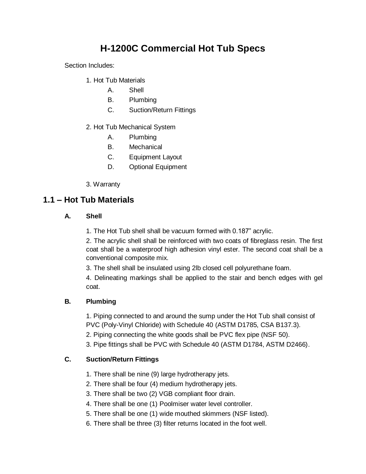# **H-1200C Commercial Hot Tub Specs**

Section Includes:

- 1. Hot Tub Materials
	- A. Shell
	- B. Plumbing
	- C. Suction/Return Fittings
- 2. Hot Tub Mechanical System
	- A. Plumbing
	- B. Mechanical
	- C. Equipment Layout
	- D. Optional Equipment
- 3. Warranty

### **1.1 – Hot Tub Materials**

#### **A. Shell**

1. The Hot Tub shell shall be vacuum formed with 0.187" acrylic.

2. The acrylic shell shall be reinforced with two coats of fibreglass resin. The first coat shall be a waterproof high adhesion vinyl ester. The second coat shall be a conventional composite mix.

3. The shell shall be insulated using 2lb closed cell polyurethane foam.

4. Delineating markings shall be applied to the stair and bench edges with gel coat.

#### **B. Plumbing**

1. Piping connected to and around the sump under the Hot Tub shall consist of PVC (Poly-Vinyl Chloride) with Schedule 40 (ASTM D1785, CSA B137.3).

2. Piping connecting the white goods shall be PVC flex pipe (NSF 50).

3. Pipe fittings shall be PVC with Schedule 40 (ASTM D1784, ASTM D2466).

#### **C. Suction/Return Fittings**

- 1. There shall be nine (9) large hydrotherapy jets.
- 2. There shall be four (4) medium hydrotherapy jets.
- 3. There shall be two (2) VGB compliant floor drain.
- 4. There shall be one (1) Poolmiser water level controller.
- 5. There shall be one (1) wide mouthed skimmers (NSF listed).
- 6. There shall be three (3) filter returns located in the foot well.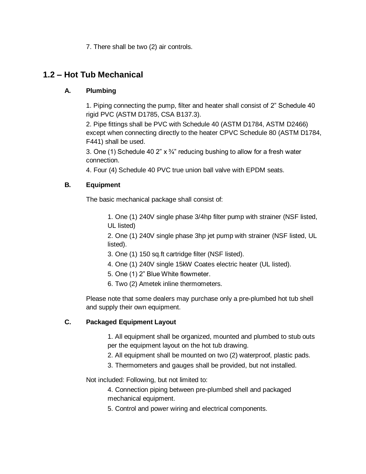7. There shall be two (2) air controls.

## **1.2 – Hot Tub Mechanical**

#### **A. Plumbing**

1. Piping connecting the pump, filter and heater shall consist of 2" Schedule 40 rigid PVC (ASTM D1785, CSA B137.3).

2. Pipe fittings shall be PVC with Schedule 40 (ASTM D1784, ASTM D2466) except when connecting directly to the heater CPVC Schedule 80 (ASTM D1784, F441) shall be used.

3. One (1) Schedule 40 2"  $\times$   $\frac{3}{4}$ " reducing bushing to allow for a fresh water connection.

4. Four (4) Schedule 40 PVC true union ball valve with EPDM seats.

#### **B. Equipment**

The basic mechanical package shall consist of:

1. One (1) 240V single phase 3/4hp filter pump with strainer (NSF listed, UL listed)

2. One (1) 240V single phase 3hp jet pump with strainer (NSF listed, UL listed).

- 3. One (1) 150 sq.ft cartridge filter (NSF listed).
- 4. One (1) 240V single 15kW Coates electric heater (UL listed).
- 5. One (1) 2" Blue White flowmeter.
- 6. Two (2) Ametek inline thermometers.

Please note that some dealers may purchase only a pre-plumbed hot tub shell and supply their own equipment.

#### **C. Packaged Equipment Layout**

1. All equipment shall be organized, mounted and plumbed to stub outs per the equipment layout on the hot tub drawing.

- 2. All equipment shall be mounted on two (2) waterproof, plastic pads.
- 3. Thermometers and gauges shall be provided, but not installed.

Not included: Following, but not limited to:

4. Connection piping between pre-plumbed shell and packaged mechanical equipment.

5. Control and power wiring and electrical components.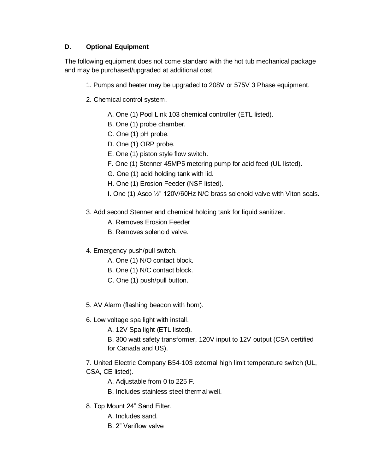#### **D. Optional Equipment**

The following equipment does not come standard with the hot tub mechanical package and may be purchased/upgraded at additional cost.

- 1. Pumps and heater may be upgraded to 208V or 575V 3 Phase equipment.
- 2. Chemical control system.
	- A. One (1) Pool Link 103 chemical controller (ETL listed).
	- B. One (1) probe chamber.
	- C. One (1) pH probe.
	- D. One (1) ORP probe.
	- E. One (1) piston style flow switch.
	- F. One (1) Stenner 45MP5 metering pump for acid feed (UL listed).
	- G. One (1) acid holding tank with lid.
	- H. One (1) Erosion Feeder (NSF listed).
	- I. One (1) Asco ½" 120V/60Hz N/C brass solenoid valve with Viton seals.
- 3. Add second Stenner and chemical holding tank for liquid sanitizer.
	- A. Removes Erosion Feeder
	- B. Removes solenoid valve.
- 4. Emergency push/pull switch.
	- A. One (1) N/O contact block.
	- B. One (1) N/C contact block.
	- C. One (1) push/pull button.
- 5. AV Alarm (flashing beacon with horn).
- 6. Low voltage spa light with install.
	- A. 12V Spa light (ETL listed).
	- B. 300 watt safety transformer, 120V input to 12V output (CSA certified for Canada and US).

7. United Electric Company B54-103 external high limit temperature switch (UL, CSA, CE listed).

- A. Adjustable from 0 to 225 F.
- B. Includes stainless steel thermal well.
- 8. Top Mount 24" Sand Filter.
	- A. Includes sand.
	- B. 2" Variflow valve